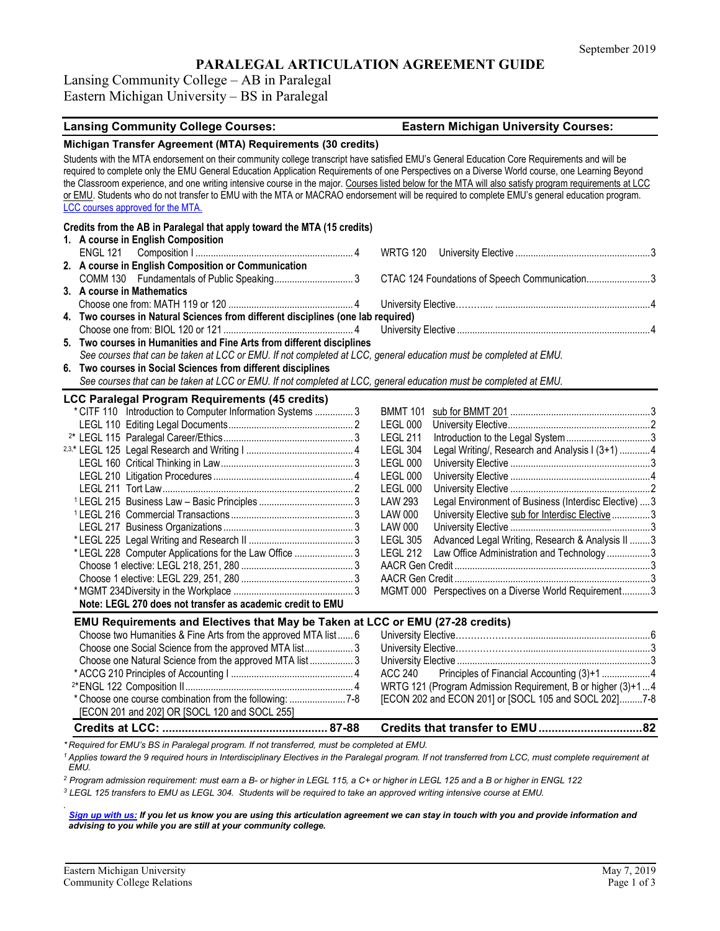# **PARALEGAL ARTICULATION AGREEMENT GUIDE**

Lansing Community College – AB in Paralegal Eastern Michigan University – BS in Paralegal

### **Lansing Community College Courses: Eastern Michigan University Courses:**

### **Michigan Transfer Agreement (MTA) Requirements (30 credits)** Students with the MTA endorsement on their community college transcript have satisfied EMU's General Education Core Requirements and will be required to complete only the EMU General Education Application Requirements of one Perspectives on a Diverse World course, one Learning Beyond the Classroom experience, and one writing intensive course in the major. Courses listed below for the MTA will also satisfy program requirements at LCC or EMU. Students who do not transfer to EMU with the MTA or MACRAO endorsement will be required to complete EMU's general education program. [LCC courses approved for the MTA.](https://internal.lcc.edu/transfer/mta.aspx) **Credits from the AB in Paralegal that apply toward the MTA (15 credits) 1. A course in English Composition** ENGL 121 Composition I .............................................................. 4 WRTG 120 University Elective .....................................................3 **2. A course in English Composition or Communication** COMM 130 Fundamentals of Public Speaking............................... 3 CTAC 124 Foundations of Speech Communication.........................3 **3. A course in Mathematics** Choose one from: MATH 119 or 120 ................................................. 4 University Elective……….... .............................................................4 **4. Two courses in Natural Sciences from different disciplines (one lab required)** Choose one from: BIOL 120 or 121 ................................................... 4 University Elective ............................................................................4 **5. Two courses in Humanities and Fine Arts from different disciplines** *See courses that can be taken at LCC or EMU. If not completed at LCC, general education must be completed at EMU.* **6. Two courses in Social Sciences from different disciplines** *See courses that can be taken at LCC or EMU. If not completed at LCC, general education must be completed at EMU.* **LCC Paralegal Program Requirements (45 credits)** \* CITF 110 Introduction to Computer Information Systems ............... 3 BMMT 101 sub for BMMT 201 .......................................................3 LEGL 110 Editing Legal Documents................................................. 2 LEGL 000 University Elective........................................................2 2\* LEGL 115 Paralegal Career/Ethics................................................... 3 LEGL 211 Introduction to the Legal System.................................3 2,3,\* LEGL 125 Legal Research and Writing I .......................................... 4 LEGL 304 Legal Writing/, Research and Analysis I (3+1) ............4 LEGL 160 Critical Thinking in Law.................................................... 3 LEGL 000 University Elective .......................................................3 LEGL 210 Litigation Procedures ....................................................... 4 LEGL 000 University Elective .......................................................4 LEGL 211 Tort Law........................................................................... 2 LEGL 000 University Elective .......................................................2 <sup>1</sup> LEGL 215 Business Law – Basic Principles ..................................... 3 LAW 293 Legal Environment of Business (Interdisc Elective) ....3 <sup>1</sup> LEGL 216 Commercial Transactions ................................................ 3 LAW 000 University Elective sub for Interdisc Elective...............3 LEGL 217 Business Organizations ................................................... 3 LAW 000 University Elective .......................................................3 \* LEGL 225 Legal Writing and Research II ......................................... 3 LEGL 305 Advanced Legal Writing, Research & Analysis II ........3 \* LEGL 228 Computer Applications for the Law Office ...........................3 LEGL 212 Choose 1 elective: LEGL 218, 251, 280 ............................................ 3 AACR Gen Credit .............................................................................3 Choose 1 elective: LEGL 229, 251, 280 ............................................ 3 AACR Gen Credit .............................................................................3 \*MGMT 234Diversity in the Workplace ............................................... 3 MGMT 000 Perspectives on a Diverse World Requirement...........3 **Note: LEGL 270 does not transfer as academic credit to EMU EMU Requirements and Electives that May be Taken at LCC or EMU (27-28 credits)** Choose two Humanities & Fine Arts from the approved MTA list ...... 6 University Elective…………………...................................................6 Choose one Social Science from the approved MTA list................... 3 University Elective…………………...................................................3 Choose one Natural Science from the approved MTA list ................. 3 University Elective ............................................................................3 \* ACCG 210 Principles of Accounting I ................................................ <sup>4</sup> ACC 240 Principles of Financial Accounting (3)+1 ...................4 2\*ENGL 122 Composition II.................................................................. <sup>4</sup> WRTG 121 (Program Admission Requirement, B or higher (3)+1...4 [ECON 202 and ECON 201] or [SOCL 105 and SOCL 202]..........7-8 [ECON 201 and 202] OR [SOCL 120 and SOCL 255] **Credits at LCC: ................................................... 87-88 Credits that transfer to EMU................................82**

*\* Required for EMU's BS in Paralegal program. If not transferred, must be completed at EMU.* 

<sup>1</sup> Applies toward the 9 required hours in Interdisciplinary Electives in the Paralegal program. If not transferred from LCC, must complete requirement at *EMU.*

*<sup>2</sup> Program admission requirement: must earn a B- or higher in LEGL 115, a C+ or higher in LEGL 125 and a B or higher in ENGL 122*

*<sup>3</sup> LEGL 125 transfers to EMU as LEGL 304. Students will be required to take an approved writing intensive course at EMU.*

*. [Sign up with us:](https://www.emich.edu/ccr/articulation-agreements/signup.php) If you let us know you are using this articulation agreement we can stay in touch with you and provide information and advising to you while you are still at your community college.*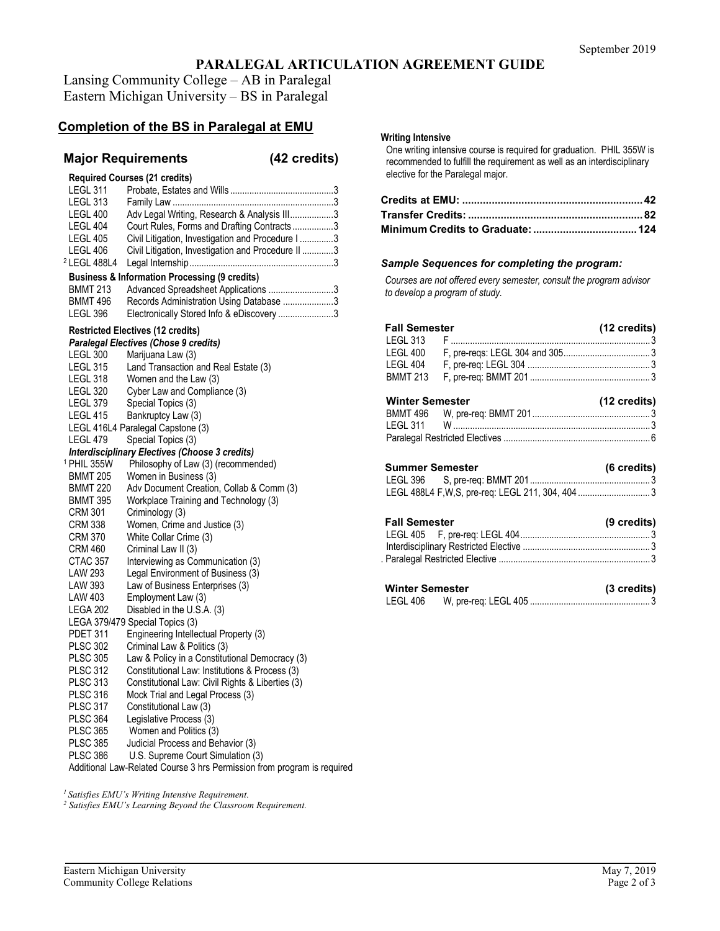# **PARALEGAL ARTICULATION AGREEMENT GUIDE**

Lansing Community College – AB in Paralegal Eastern Michigan University – BS in Paralegal

## **Completion of the BS in Paralegal at EMU**

## **Major Requirements (42 credits)**

| <b>LEGL 311</b><br>LEGL 313<br>LEGL 400<br>LEGL 404<br>LEGL 405<br>LEGL 406 | <b>Required Courses (21 credits)</b><br>Adv Legal Writing, Research & Analysis III3<br>Court Rules, Forms and Drafting Contracts3<br>Civil Litigation, Investigation and Procedure I 3<br>Civil Litigation, Investigation and Procedure II 3 |  |
|-----------------------------------------------------------------------------|----------------------------------------------------------------------------------------------------------------------------------------------------------------------------------------------------------------------------------------------|--|
| 2 LEGL 488L4                                                                |                                                                                                                                                                                                                                              |  |
| <b>BMMT 213</b><br><b>BMMT 496</b><br>LEGL 396                              | <b>Business &amp; Information Processing (9 credits)</b><br>Advanced Spreadsheet Applications 3<br>Records Administration Using Database 3<br>Electronically Stored Info & eDiscovery 3                                                      |  |
|                                                                             | Restricted Electives (12 credits)                                                                                                                                                                                                            |  |
|                                                                             | Paralegal Electives (Chose 9 credits)                                                                                                                                                                                                        |  |
| <b>LEGL 300</b>                                                             | Marijuana Law (3)                                                                                                                                                                                                                            |  |
| <b>LEGL 315</b>                                                             | Land Transaction and Real Estate (3)                                                                                                                                                                                                         |  |
| LEGL 318                                                                    | Women and the Law (3)                                                                                                                                                                                                                        |  |
| <b>LEGL 320</b>                                                             | Cyber Law and Compliance (3)                                                                                                                                                                                                                 |  |
| LEGL 379                                                                    | Special Topics (3)                                                                                                                                                                                                                           |  |
| <b>LEGL 415</b>                                                             | Bankruptcy Law (3)                                                                                                                                                                                                                           |  |
|                                                                             | LEGL 416L4 Paralegal Capstone (3)                                                                                                                                                                                                            |  |
| LEGL 479                                                                    | Special Topics (3)                                                                                                                                                                                                                           |  |
|                                                                             | Interdisciplinary Electives (Choose 3 credits)                                                                                                                                                                                               |  |
| <sup>1</sup> PHIL 355W                                                      | Philosophy of Law (3) (recommended)                                                                                                                                                                                                          |  |
| <b>BMMT 205</b>                                                             | Women in Business (3)                                                                                                                                                                                                                        |  |
| <b>BMMT 220</b>                                                             | Adv Document Creation, Collab & Comm (3)                                                                                                                                                                                                     |  |
| <b>BMMT 395</b>                                                             | Workplace Training and Technology (3)                                                                                                                                                                                                        |  |
| <b>CRM 301</b>                                                              | Criminology (3)                                                                                                                                                                                                                              |  |
| <b>CRM 338</b>                                                              | Women, Crime and Justice (3)                                                                                                                                                                                                                 |  |
| <b>CRM 370</b>                                                              | White Collar Crime (3)                                                                                                                                                                                                                       |  |
| CRM 460                                                                     | Criminal Law II (3)                                                                                                                                                                                                                          |  |
| <b>CTAC 357</b>                                                             | Interviewing as Communication (3)                                                                                                                                                                                                            |  |
| <b>LAW 293</b>                                                              | Legal Environment of Business (3)                                                                                                                                                                                                            |  |
| <b>LAW 393</b>                                                              | Law of Business Enterprises (3)                                                                                                                                                                                                              |  |
| <b>LAW 403</b>                                                              | Employment Law (3)                                                                                                                                                                                                                           |  |
| LEGA 202                                                                    | Disabled in the U.S.A. (3)                                                                                                                                                                                                                   |  |
|                                                                             | LEGA 379/479 Special Topics (3)                                                                                                                                                                                                              |  |
| <b>PDET 311</b>                                                             | Engineering Intellectual Property (3)                                                                                                                                                                                                        |  |
| <b>PLSC 302</b>                                                             | Criminal Law & Politics (3)                                                                                                                                                                                                                  |  |
| <b>PLSC 305</b>                                                             | Law & Policy in a Constitutional Democracy (3)                                                                                                                                                                                               |  |
| <b>PLSC 312</b>                                                             | Constitutional Law: Institutions & Process (3)                                                                                                                                                                                               |  |
| <b>PLSC 313</b>                                                             | Constitutional Law: Civil Rights & Liberties (3)                                                                                                                                                                                             |  |
| <b>PLSC 316</b>                                                             | Mock Trial and Legal Process (3)                                                                                                                                                                                                             |  |
| <b>PLSC 317</b>                                                             | Constitutional Law (3)                                                                                                                                                                                                                       |  |
| <b>PLSC 364</b>                                                             | Legislative Process (3)                                                                                                                                                                                                                      |  |
| <b>PLSC 365</b>                                                             | Women and Politics (3)                                                                                                                                                                                                                       |  |
| <b>PLSC 385</b><br><b>PLSC 386</b>                                          | Judicial Process and Behavior (3)<br>U.S. Supreme Court Simulation (3)                                                                                                                                                                       |  |
|                                                                             |                                                                                                                                                                                                                                              |  |

Additional Law-Related Course 3 hrs Permission from program is required

*1 Satisfies EMU's Writing Intensive Requirement.*

*<sup>2</sup> Satisfies EMU's Learning Beyond the Classroom Requirement.* 

### **Writing Intensive**

One writing intensive course is required for graduation. PHIL 355W is recommended to fulfill the requirement as well as an interdisciplinary elective for the Paralegal major.

### *Sample Sequences for completing the program:*

*Courses are not offered every semester, consult the program advisor to develop a program of study.*

| <b>Fall Semester</b>   | $(12 \text{ credits})$ |
|------------------------|------------------------|
|                        |                        |
| LEGL 400               |                        |
| LEGL 404               |                        |
| <b>BMMT 213</b>        |                        |
| <b>Winter Semester</b> | $(12 \text{ credits})$ |
|                        |                        |
|                        |                        |
|                        |                        |
|                        |                        |
| <b>Summer Semester</b> | (6 credits)            |
|                        |                        |
| <b>Fall Semester</b>   | (9 credits)            |
|                        |                        |
|                        |                        |
|                        |                        |

| <b>Winter Semester</b> |  | (3 credits) |
|------------------------|--|-------------|
| LEGL 406               |  |             |